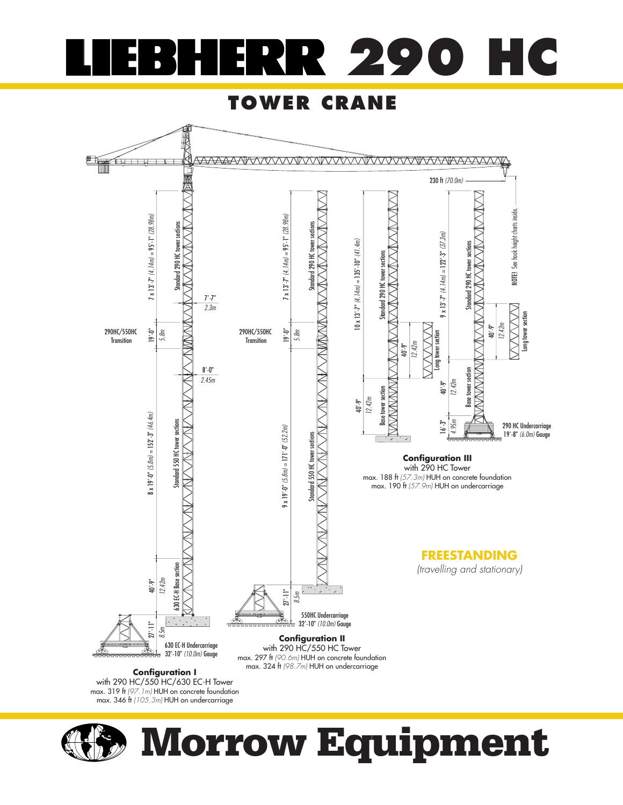#### **290 HC** E

#### **TOWER CRANE**



**Configuration I** with 290 HC/550 HC/630 EC-H Tower max. 319 ft (97.1m) HUH on concrete foundation<br>max. 346 ft (105.3m) HUH on undercarriage



# **Morrow Equipment**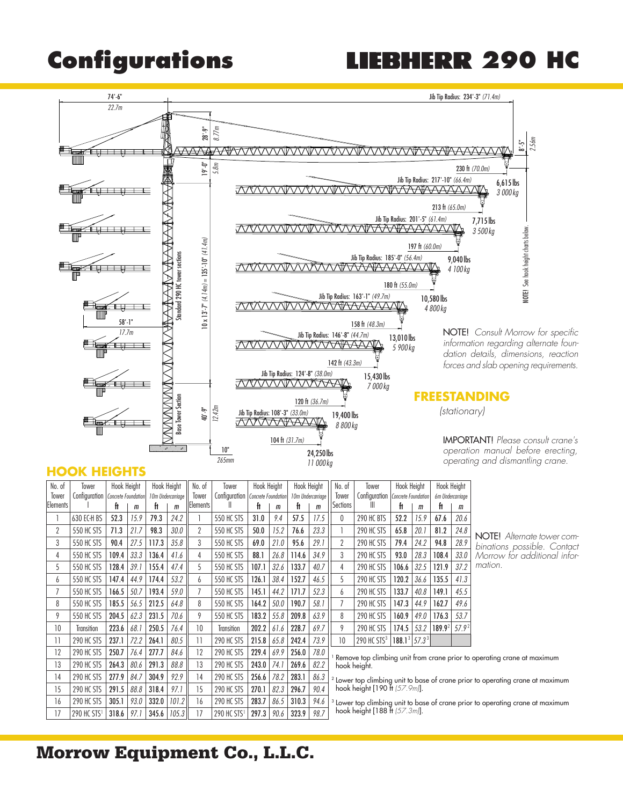# **Configurations LIEBHERR 290 HC**



#### **HOOK HEIGHTS**

| No. of    | lower                               | Hook Height |                   |       |       | Hook Height                         |                         | No. of<br>Tower |                   | Hook Height | Hook Height |                                  | No. of                                                                                    | Tower     |                  | Hook Height        |                   | <b>Hook Height</b>                                                                        |  |
|-----------|-------------------------------------|-------------|-------------------|-------|-------|-------------------------------------|-------------------------|-----------------|-------------------|-------------|-------------|----------------------------------|-------------------------------------------------------------------------------------------|-----------|------------------|--------------------|-------------------|-------------------------------------------------------------------------------------------|--|
| Tower     | Configuration   Concrete Foundation |             | 10m Undercarriage |       | Tower | Configuration   Concrete Foundation |                         |                 | 10m Undercarriage |             | Tower       | Configuration                    | Concrete Foundation                                                                       |           | 6m Undercarriage |                    |                   |                                                                                           |  |
| lElements |                                     | ft          | m                 | Ħ     | m     | Elements                            | Ш                       | Ħ               | m                 | ft          | m           | Sections                         | Ш                                                                                         | Ħ         | $\mathsf{m}$     | ft                 | m                 |                                                                                           |  |
|           | 630 EC-H BS                         | 52.3        | 15.9              | 79.3  | 24.2  |                                     | <b>550 HC STS</b>       | 31.0            | 9.4               | 57.5        | 17.5        | 0                                | 290 HC BTS                                                                                | 52.2      | 15.9             | 67.6               | 20.6              |                                                                                           |  |
| 2         | 550 HC STS                          | 71.3        | 21.7              | 98.3  | 30.0  | 2                                   | <b>550 HC STS</b>       | 50.0            | 15.2              | 76.6        | 23.3        |                                  | 290 HC STS                                                                                | 65.8      | 20.1             | 81.2               | 24.8              | NOTE! Alternate tower co                                                                  |  |
| 3         | <b>550 HC STS</b>                   | 90.4        | 27.5              | 117.3 | 35.8  | 3                                   | <b>550 HC STS</b>       | 69.0            | 21.0              | 95.6        | 29.1        | $\overline{2}$                   | 290 HC STS                                                                                | 79.4      | 24.2             | 94.8               | 28.9              | binations possible. Conto                                                                 |  |
| 4         | 550 HC STS                          | 109.4       | 33.3              | 136.4 | 41.6  | 4                                   | <b>550 HC STS</b>       | 88.1            | 26.8              | 114.6       | 34.9        | 3                                | 290 HC STS                                                                                | 93.0      | 28.3             | 108.4              | 33.0              | Morrow for additional info                                                                |  |
| 5         | <b>550 HC STS</b>                   | 128.4       | 39.1              | 155.4 | 47.4  | 5                                   | <b>550 HC STS</b>       | 107.1           | 32.6              | 133.7       | 40.7        | 4                                | 290 HC STS                                                                                | 106.6     | 32.5             | 121.9              | 37.2              | mation.                                                                                   |  |
| 6         | <b>550 HC STS</b>                   | 147.4       | 44.9              | 174.4 | 53.2  | 6                                   | <b>550 HC STS</b>       | 126.1           | 38.4              | 152.7       | 46.5        | 5                                | 290 HC STS                                                                                | 120.2     | 36.6             | 135.5              | 41.3              |                                                                                           |  |
|           | <b>550 HC STS</b>                   | 166.5       | 50.7              | 193.4 | 59.0  | 7                                   | <b>550 HC STS</b>       | 145.1           | 44.2              | 171.7       | 52.3        | 6                                | 290 HC STS                                                                                | 133.7     | 40.8             | 149.1              | 45.5              |                                                                                           |  |
| 8         | <b>550 HC STS</b>                   | 185.5       | 56.5              | 212.5 | 64.8  | 8                                   | <b>550 HC STS</b>       | 164.2           | 50.0              | 190.7       | 58.1        | $\overline{1}$                   | 290 HC STS                                                                                | 147.3     | 44.9             | 162.7              | 49.6              |                                                                                           |  |
| 9         | <b>550 HC STS</b>                   | 204.5       | 62.3              | 231.5 | 70.6  | 9                                   | <b>550 HC STS</b>       | 183.2           | 55.8              | 209.8       | 63.9        | 8                                | 290 HC STS                                                                                | 160.9     | 49.0             | 176.3              | 53.7              |                                                                                           |  |
| 10        | <b>Transition</b>                   | 223.6       | 68.1              | 250.5 | 76.4  | 10                                  | Transition              | 202.2           | 61.6              | 228.7       | 69.7        | 9                                | 290 HC STS                                                                                | 174.5     | 53.2             | 189.9 <sup>2</sup> | 57.9 <sup>2</sup> |                                                                                           |  |
| 11        | 290 HC STS                          | 237.1       | 72.2              | 264.1 | 80.5  | 11                                  | 290 HC STS              | 215.8           | 65.8              | 242.4       | 73.9        | 10                               | 290 HC STS $3$                                                                            | $188.1^3$ | $57.3^3$         |                    |                   |                                                                                           |  |
| 12        | 290 HC STS                          | 250.7       | 76.4              | 277.7 | 84.6  | 12                                  | 290 HC STS              | 229.4           | 69.9              | 256.0       | 78.0        |                                  |                                                                                           |           |                  |                    |                   | Remove top climbing unit from crane prior to operating crane at maximum                   |  |
| 13        | 290 HC STS                          | 264.3       | 80.6              | 291.3 | 88.8  | 13                                  | 290 HC STS              | 243.0           | 74.1              | 269.6       | 82.2        |                                  | hook height.                                                                              |           |                  |                    |                   |                                                                                           |  |
| 14        | 290 HC STS                          | 277.9       | 84.7              | 304.9 | 92.9  | 14                                  | 290 HC STS              | 256.6           | 78.2              | 283.1       | 86.3        |                                  | <sup>2</sup> Lower top climbing unit to base of crane prior to operating crane at maximum |           |                  |                    |                   |                                                                                           |  |
| 15        | 290 HC STS                          | 291.5       | 88.8              | 318.4 | 97.1  | 15                                  | 290 HC STS              | 270.1           | 82.3              | 296.7       | 90.4        | hook height [190 ft (57.9m)].    |                                                                                           |           |                  |                    |                   |                                                                                           |  |
| 16        | 290 HC STS                          | 305.1       | 93.0              | 332.0 | 101.2 | 16                                  | 290 HC STS              | 283.7           | 86.5              | 310.3       | 94.6        |                                  |                                                                                           |           |                  |                    |                   | <sup>3</sup> Lower top climbing unit to base of crane prior to operating crane at maximum |  |
| 17        | 290 HC STS <sup>1</sup>             | 318.6       | 97.1              | 345.6 | 105.3 | 17                                  | 290 HC STS <sup>1</sup> | 297.3           | 90.6              | 323.9       | 98.7        | hook height [188 ft $(57.3m)$ ]. |                                                                                           |           |                  |                    |                   |                                                                                           |  |

#### NOTE! Alternate tower combinations possible. Contact Morrow for additional information.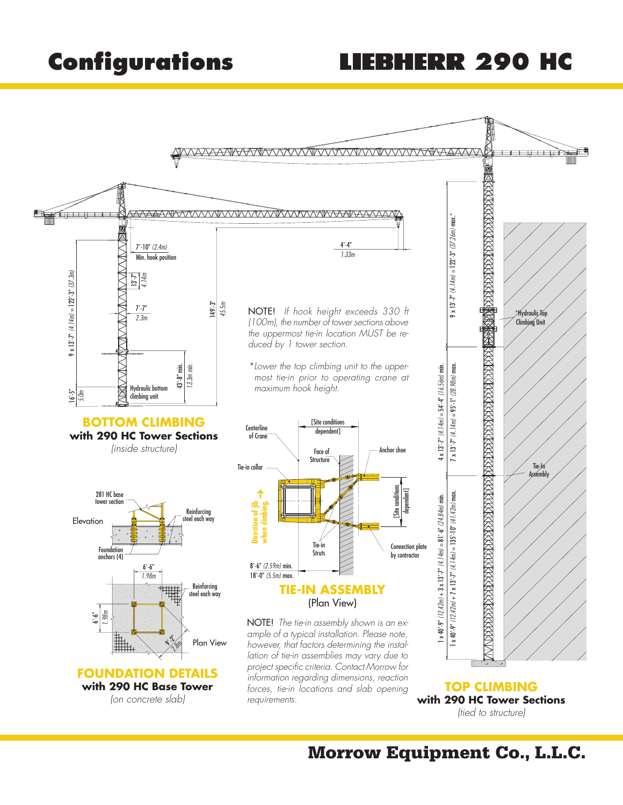## **Configurations LIEBHERR 290 HC**

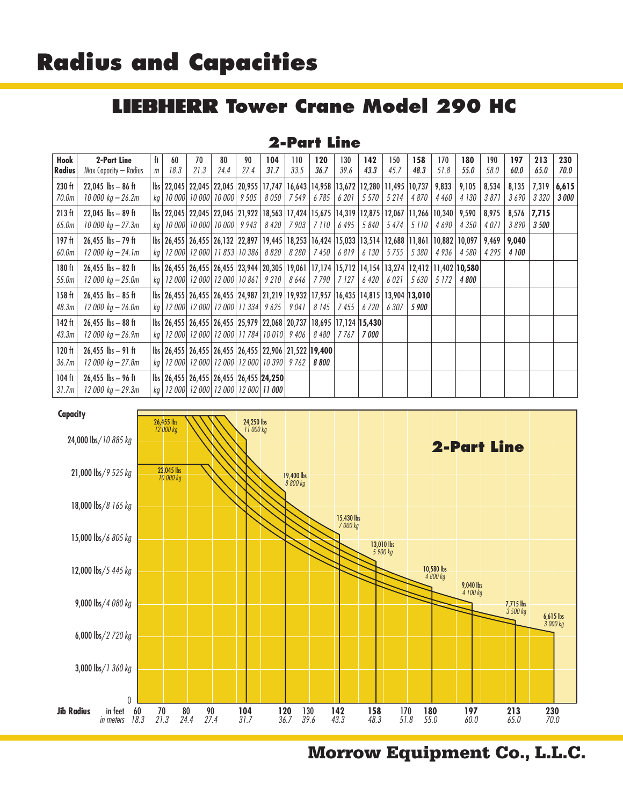## **Radius and Capacities**

### **LIEBHERR Tower Crane Model 290 HC**

#### **2-Part Line**

| Hook<br><b>Radius</b> | 2-Part Line                       | ft.            | 60<br>18.3 | 70<br>21.3 | 80<br>24.4                                                                                                               | 90<br>27.4 | 104<br>31.7 | 110<br>33.5 | 120<br>36.7   | 130<br>39.6   | 142<br>43.3 | 150<br>45.7 | 158<br>48.3 | 170<br>51.8 | 180<br>55.0  | 190<br>58.0 | 197<br>60.0 | 213<br>65.0 | 230<br>70.O  |
|-----------------------|-----------------------------------|----------------|------------|------------|--------------------------------------------------------------------------------------------------------------------------|------------|-------------|-------------|---------------|---------------|-------------|-------------|-------------|-------------|--------------|-------------|-------------|-------------|--------------|
|                       | Max Capacity — Radius             | m <sub>1</sub> |            |            |                                                                                                                          |            |             |             |               |               |             |             |             |             |              |             |             |             |              |
| 230 ft                | $22,045$ lbs $-86$ ft             |                |            |            | lbs 22,045 22,045 22,045 20,955 17,747 16,643 14,958 13,672 12,280 11,495 10,737 9,833                                   |            |             |             |               |               |             |             |             |             | 9,105        | 8,534       | 8,135       | 7,319       | 6,615        |
| 70.0m                 | 10 000 $kg - 26.2m$               |                |            |            | kg   10 000   10 000   10 000   9 505   8 050   7 549                                                                    |            |             |             | 6 7 8 5       | 6 20 1        | 5570        | 5 2 1 4     | 4 870       | 4 460       | 4 130        | 3 871       | 3 690       | 3 3 2 0     | <i>3 000</i> |
| 213 ft                | 22,045 $\rm{lbs} - 89$ ft         |                |            |            | lbs 22,045 22,045 22,045 21,922 18,563 17,424 15,675 14,319 12,875 12,067 11,266 10,340 9,590 8,975                      |            |             |             |               |               |             |             |             |             |              |             | 8,576       | 7,715       |              |
| 65.0m                 | 10 000 $kg - 27.3m$               |                |            |            | kg   10 000   10 000   10 000   9 943   8 420   7 903   7 110                                                            |            |             |             |               | 6 495         | 5840        | 5474        | 5 1 10      | 4690        | 4 3 5 0      | 4 07 1      | 3890        | 3 500       |              |
| 197 ft                | $26,455$ lbs $-79$ ft             |                |            |            | bs   26,455   26,455   26,132   22,897   19,445   18,253   16,424   15,033   13,514   12,688   11,861   10,882   10,097  |            |             |             |               |               |             |             |             |             |              | 9,469       | 9,040       |             |              |
| 60.0m                 | $12000 kg - 24.1m$                |                |            |            | kg   12 000   12 000   11 853   10 386   8 820                                                                           |            |             |             | 8 280   7 450 | 6819          | 6 130       | 5755        | 5 380       | 4 936       | 4 5 8 0      | 4 2 9 5     | 4 100       |             |              |
| $180$ ft              | $26,455$ lbs $-82$ ft             |                |            |            | lbs   26,455   26,455   26,455   23,944   20,305   19,061   17,174   15,712   14,154   13,274   12,412   11,402   10,580 |            |             |             |               |               |             |             |             |             |              |             |             |             |              |
| 55.0m                 | $12000 kg - 25.0m$                |                |            |            | kg   12 000   12 000   12 000   10 861   9 210   8 646   7 790                                                           |            |             |             |               | $\vert$ 7 127 | 6 420       | 6 021       | 5 630       | 5 172       | <i>4 800</i> |             |             |             |              |
| $158$ ft              | $26,455$ lbs $-85$ ft             |                |            |            | lbs   26,455   26,455   26,455   24,987   21,219   19,932   17,957   16,435   14,815   13,904   13,010                   |            |             |             |               |               |             |             |             |             |              |             |             |             |              |
| 48.3m                 | $12000 kg - 26.0m$                |                |            |            | kg   12 000   12 000   12 000   11 334   9 625   9 041                                                                   |            |             |             | 8 145         | 7 455         | 6720        | 6 307       | 5 900       |             |              |             |             |             |              |
| $142$ ft              | $26.455$ lbs $-88$ ft             |                |            |            | lbs   26,455   26,455   26,455   25,979   22,068   20,737   18,695   17,124   15,430                                     |            |             |             |               |               |             |             |             |             |              |             |             |             |              |
| 43.3m                 | $12000 kg - 26.9m$                |                |            |            | kg   12 000   12 000   12 000   11 784   10 010   9 406                                                                  |            |             |             | 8 480         | 7 767         | 7 000       |             |             |             |              |             |             |             |              |
| 120 ft                | $26,455$ lbs $-91$ ft             |                |            |            | lbs 26,455   26,455   26,455   26,455   22,906   21,522   19,400                                                         |            |             |             |               |               |             |             |             |             |              |             |             |             |              |
| 36.7m                 | 12 000 kg – 27.8m                 |                |            |            | kg   12 000   12 000   12 000   12 000   10 390   9 762                                                                  |            |             |             | 8 800         |               |             |             |             |             |              |             |             |             |              |
| $104$ ft              | $26,455$ lbs $-96$ ft             |                |            |            | lbs   26,455   26,455   26,455   26,455   24,250                                                                         |            |             |             |               |               |             |             |             |             |              |             |             |             |              |
| 31.7m                 | $12000\ \text{kg} - 29.3\text{m}$ |                |            |            | kg   12 000   12 000   12 000   12 000   11 000                                                                          |            |             |             |               |               |             |             |             |             |              |             |             |             |              |

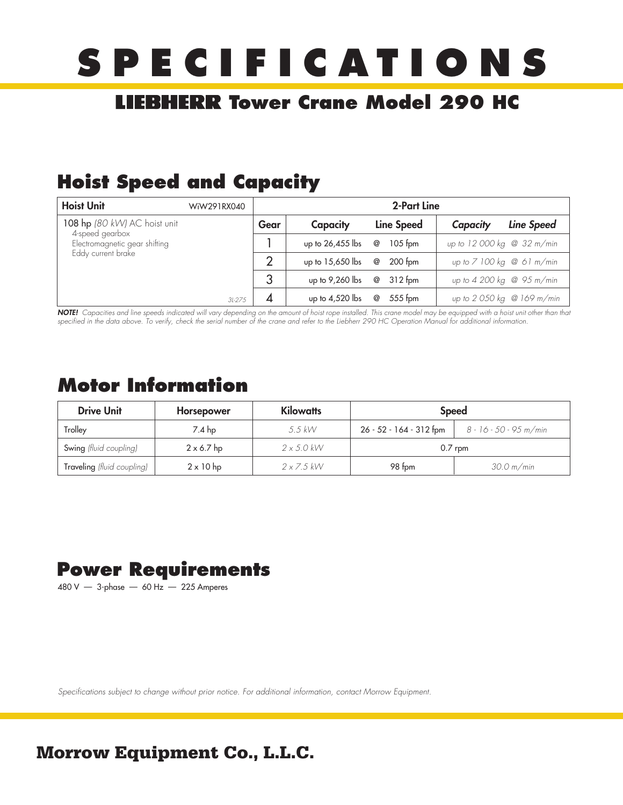# **SPECIFICATIONS**

### **LIEBHERR Tower Crane Model 290 HC**

### **Hoist Speed and Capacity**

| <b>Hoist Unit</b>                                | WiW291RX040 | 2-Part Line |                   |   |            |          |                                        |  |  |  |
|--------------------------------------------------|-------------|-------------|-------------------|---|------------|----------|----------------------------------------|--|--|--|
| 108 hp $(80 \, \text{kW})$ AC hoist unit         |             | Gear        | Capacity          |   | Line Speed | Capacity | Line Speed                             |  |  |  |
| 4-speed gearbox<br>Electromagnetic gear shifting |             |             | up to 26,455 lbs  | @ | $105$ fom  |          | up to 12 000 kg @ 32 m/min             |  |  |  |
| Eddy current brake                               |             | っ           | up to 15,650 lbs  | @ | $200$ fpm  |          | up to $7100$ kg @ 61 m/min             |  |  |  |
|                                                  |             |             | up to 9,260 lbs   | @ | $312$ fpm  |          | up to $4\,200\,\mathrm{kg}$ @ 95 m/min |  |  |  |
|                                                  | $3l - 275$  |             | up to $4,520$ lbs | @ | $555$ fpm  |          | up to 2 050 kg @ 169 m/min             |  |  |  |

**NOTE!** Capacities and line speeds indicated will vary depending on the amount of hoist rope installed. This crane model may be equipped with a hoist unit other than that specified in the data above. To verify, check the serial number of the crane and refer to the Liebherr 290 HC Operation Manual for additional information.

#### **Motor Information**

| <b>Drive Unit</b>          | Horsepower        | <b>Kilowatts</b>  | <b>Speed</b>            |                        |  |  |  |
|----------------------------|-------------------|-------------------|-------------------------|------------------------|--|--|--|
| Trollev                    | $7.4$ hp          | $5.5$ kW          | 26 - 52 - 164 - 312 fpm | 8 - 16 - 50 - 95 m/min |  |  |  |
| Swing (fluid coupling)     | $2 \times 6.7$ hp | $2 \times 5.0$ kW | $0.7$ rpm               |                        |  |  |  |
| Traveling (fluid coupling) | $2 \times 10$ hp  | $2 \times 7.5$ kW | 98 fpm                  | 30.0 m/min             |  |  |  |

#### **Power Requirements**

480 V — 3-phase — 60 Hz — 225 Amperes

Specifications subject to change without prior notice. For additional information, contact Morrow Equipment.